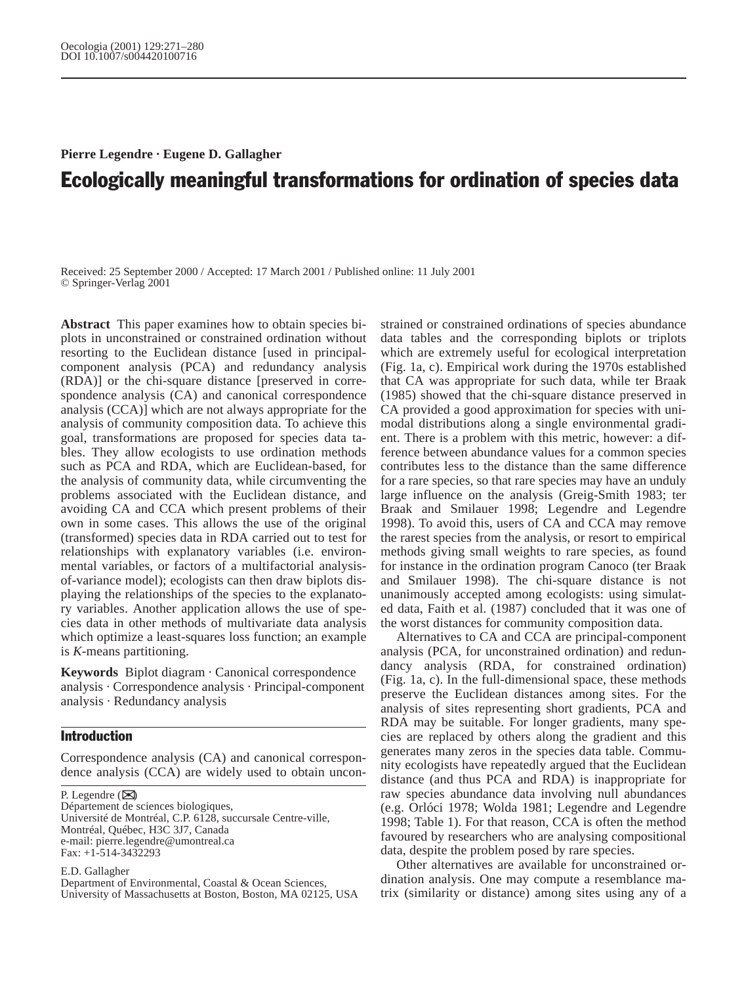# **Pierre Legendre · Eugene D. Gallagher** Ecologically meaningful transformations for ordination of species data

Received: 25 September 2000 / Accepted: 17 March 2001 / Published online: 11 July 2001 © Springer-Verlag 2001

**Abstract** This paper examines how to obtain species biplots in unconstrained or constrained ordination without resorting to the Euclidean distance [used in principalcomponent analysis (PCA) and redundancy analysis (RDA)] or the chi-square distance [preserved in correspondence analysis (CA) and canonical correspondence analysis (CCA)] which are not always appropriate for the analysis of community composition data. To achieve this goal, transformations are proposed for species data tables. They allow ecologists to use ordination methods such as PCA and RDA, which are Euclidean-based, for the analysis of community data, while circumventing the problems associated with the Euclidean distance, and avoiding CA and CCA which present problems of their own in some cases. This allows the use of the original (transformed) species data in RDA carried out to test for relationships with explanatory variables (i.e. environmental variables, or factors of a multifactorial analysisof-variance model); ecologists can then draw biplots displaying the relationships of the species to the explanatory variables. Another application allows the use of species data in other methods of multivariate data analysis which optimize a least-squares loss function; an example is *K*-means partitioning.

**Keywords** Biplot diagram · Canonical correspondence analysis · Correspondence analysis · Principal-component analysis · Redundancy analysis

# Introduction

Correspondence analysis (CA) and canonical correspondence analysis (CCA) are widely used to obtain uncon-

P. Legendre  $(\mathbb{X})$ 

Département de sciences biologiques, Université de Montréal, C.P. 6128, succursale Centre-ville, Montréal, Québec, H3C 3J7, Canada e-mail: pierre.legendre@umontreal.ca Fax: +1-514-3432293

E.D. Gallagher

Department of Environmental, Coastal & Ocean Sciences, University of Massachusetts at Boston, Boston, MA 02125, USA strained or constrained ordinations of species abundance data tables and the corresponding biplots or triplots which are extremely useful for ecological interpretation (Fig. 1a, c). Empirical work during the 1970s established that CA was appropriate for such data, while ter Braak (1985) showed that the chi-square distance preserved in CA provided a good approximation for species with unimodal distributions along a single environmental gradient. There is a problem with this metric, however: a difference between abundance values for a common species contributes less to the distance than the same difference for a rare species, so that rare species may have an unduly large influence on the analysis (Greig-Smith 1983; ter Braak and Smilauer 1998; Legendre and Legendre 1998). To avoid this, users of CA and CCA may remove the rarest species from the analysis, or resort to empirical methods giving small weights to rare species, as found for instance in the ordination program Canoco (ter Braak and Smilauer 1998). The chi-square distance is not unanimously accepted among ecologists: using simulated data, Faith et al. (1987) concluded that it was one of the worst distances for community composition data.

Alternatives to CA and CCA are principal-component analysis (PCA, for unconstrained ordination) and redundancy analysis (RDA, for constrained ordination) (Fig. 1a, c). In the full-dimensional space, these methods preserve the Euclidean distances among sites. For the analysis of sites representing short gradients, PCA and RDA may be suitable. For longer gradients, many species are replaced by others along the gradient and this generates many zeros in the species data table. Community ecologists have repeatedly argued that the Euclidean distance (and thus PCA and RDA) is inappropriate for raw species abundance data involving null abundances (e.g. Orlóci 1978; Wolda 1981; Legendre and Legendre 1998; Table 1). For that reason, CCA is often the method favoured by researchers who are analysing compositional data, despite the problem posed by rare species.

Other alternatives are available for unconstrained ordination analysis. One may compute a resemblance matrix (similarity or distance) among sites using any of a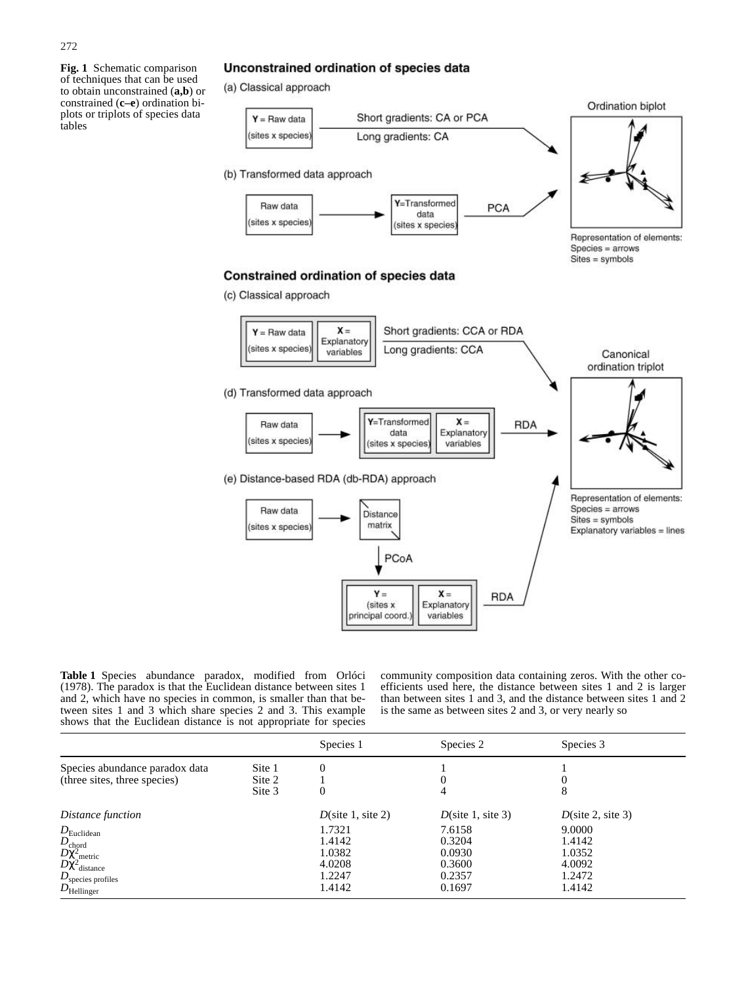**Fig. 1** Schematic comparison of techniques that can be used to obtain unconstrained (**a,b**) or constrained (**c–e**) ordination biplots or triplots of species data tables

# Unconstrained ordination of species data

(a) Classical approach



**Table 1** Species abundance paradox, modified from Orlóci (1978). The paradox is that the Euclidean distance between sites 1 and 2, which have no species in common, is smaller than that between sites 1 and 3 which share species 2 and 3. This example shows that the Euclidean distance is not appropriate for species

community composition data containing zeros. With the other coefficients used here, the distance between sites 1 and 2 is larger than between sites 1 and 3, and the distance between sites 1 and 2 is the same as between sites 2 and 3, or very nearly so

|                                                                                                                                                                  |                            | Species 1                                                | Species 2                                                | Species 3                                                |
|------------------------------------------------------------------------------------------------------------------------------------------------------------------|----------------------------|----------------------------------------------------------|----------------------------------------------------------|----------------------------------------------------------|
| Species abundance paradox data<br>(three sites, three species)                                                                                                   | Site 1<br>Site 2<br>Site 3 | $\Omega$<br>0                                            | 4                                                        | $\theta$<br>8                                            |
| Distance function                                                                                                                                                |                            | $D(\text{site } 1, \text{site } 2)$                      | $D(\text{site } 1, \text{site } 3)$                      | $D(\text{site 2, site 3})$                               |
| $D_{\rm Euclidean}$<br>$D_{\text{chord}}$<br>$D\chi^2_{\text{metric}}$<br>$D\chi^2_{\text{distance}}$<br>$D_{\text{species profiles}}$<br>$D_{\text{Hellinger}}$ |                            | 1.7321<br>1.4142<br>1.0382<br>4.0208<br>1.2247<br>1.4142 | 7.6158<br>0.3204<br>0.0930<br>0.3600<br>0.2357<br>0.1697 | 9.0000<br>1.4142<br>1.0352<br>4.0092<br>1.2472<br>1.4142 |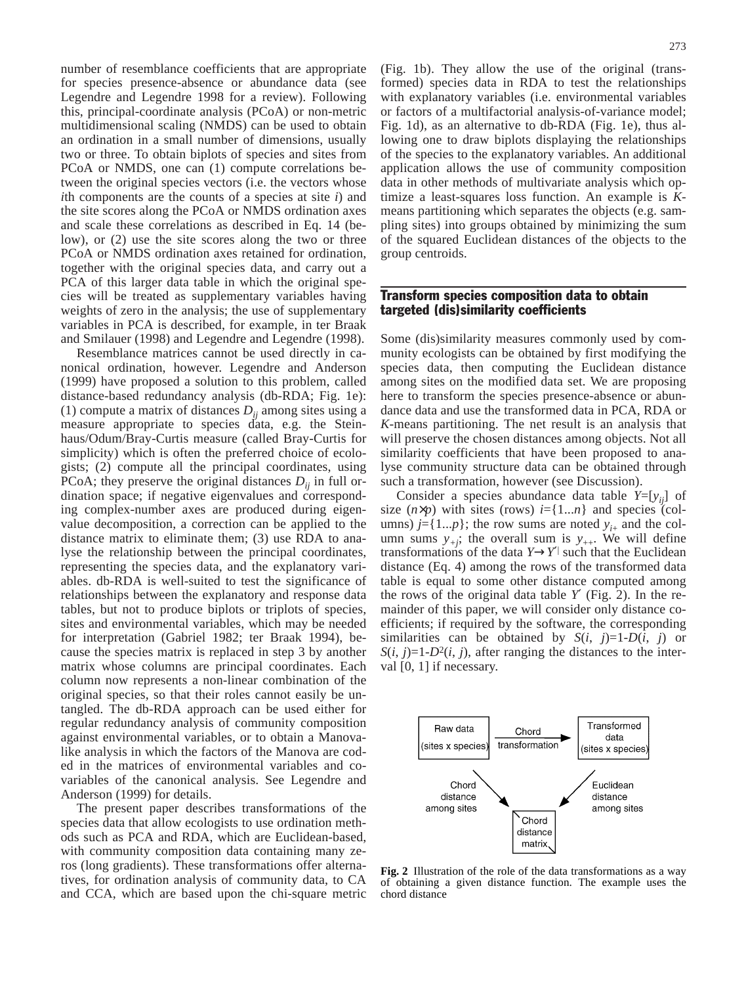number of resemblance coefficients that are appropriate for species presence-absence or abundance data (see Legendre and Legendre 1998 for a review). Following this, principal-coordinate analysis (PCoA) or non-metric multidimensional scaling (NMDS) can be used to obtain an ordination in a small number of dimensions, usually two or three. To obtain biplots of species and sites from PCoA or NMDS, one can (1) compute correlations between the original species vectors (i.e. the vectors whose *i*th components are the counts of a species at site *i*) and the site scores along the PCoA or NMDS ordination axes and scale these correlations as described in Eq. 14 (below), or (2) use the site scores along the two or three PCoA or NMDS ordination axes retained for ordination, together with the original species data, and carry out a PCA of this larger data table in which the original species will be treated as supplementary variables having weights of zero in the analysis; the use of supplementary variables in PCA is described, for example, in ter Braak and Smilauer (1998) and Legendre and Legendre (1998).

Resemblance matrices cannot be used directly in canonical ordination, however. Legendre and Anderson (1999) have proposed a solution to this problem, called distance-based redundancy analysis (db-RDA; Fig. 1e): (1) compute a matrix of distances  $D_{ii}$  among sites using a measure appropriate to species data, e.g. the Steinhaus/Odum/Bray-Curtis measure (called Bray-Curtis for simplicity) which is often the preferred choice of ecologists; (2) compute all the principal coordinates, using PCoA; they preserve the original distances  $D_{ii}$  in full ordination space; if negative eigenvalues and corresponding complex-number axes are produced during eigenvalue decomposition, a correction can be applied to the distance matrix to eliminate them; (3) use RDA to analyse the relationship between the principal coordinates, representing the species data, and the explanatory variables. db-RDA is well-suited to test the significance of relationships between the explanatory and response data tables, but not to produce biplots or triplots of species, sites and environmental variables, which may be needed for interpretation (Gabriel 1982; ter Braak 1994), because the species matrix is replaced in step 3 by another matrix whose columns are principal coordinates. Each column now represents a non-linear combination of the original species, so that their roles cannot easily be untangled. The db-RDA approach can be used either for regular redundancy analysis of community composition against environmental variables, or to obtain a Manovalike analysis in which the factors of the Manova are coded in the matrices of environmental variables and covariables of the canonical analysis. See Legendre and Anderson (1999) for details.

The present paper describes transformations of the species data that allow ecologists to use ordination methods such as PCA and RDA, which are Euclidean-based, with community composition data containing many zeros (long gradients). These transformations offer alternatives, for ordination analysis of community data, to CA and CCA, which are based upon the chi-square metric (Fig. 1b). They allow the use of the original (transformed) species data in RDA to test the relationships with explanatory variables (i.e. environmental variables or factors of a multifactorial analysis-of-variance model; Fig. 1d), as an alternative to db-RDA (Fig. 1e), thus allowing one to draw biplots displaying the relationships of the species to the explanatory variables. An additional application allows the use of community composition data in other methods of multivariate analysis which optimize a least-squares loss function. An example is *K*means partitioning which separates the objects (e.g. sampling sites) into groups obtained by minimizing the sum of the squared Euclidean distances of the objects to the group centroids.

# Transform species composition data to obtain targeted (dis)similarity coefficients

Some (dis)similarity measures commonly used by community ecologists can be obtained by first modifying the species data, then computing the Euclidean distance among sites on the modified data set. We are proposing here to transform the species presence-absence or abundance data and use the transformed data in PCA, RDA or *K*-means partitioning. The net result is an analysis that will preserve the chosen distances among objects. Not all similarity coefficients that have been proposed to analyse community structure data can be obtained through such a transformation, however (see Discussion).

Consider a species abundance data table *Y*=[*yij*] of size  $(n \times p)$  with sites (rows)  $i = \{1...n\}$  and species (columns)  $j = \{1...p\}$ ; the row sums are noted  $y_{i+}$  and the column sums  $y_{+i}$ ; the overall sum is  $y_{++1}$ . We will define transformations of the data  $Y \rightarrow Y'$  such that the Euclidean distance (Eq. 4) among the rows of the transformed data table is equal to some other distance computed among the rows of the original data table *Y*′ (Fig. 2). In the remainder of this paper, we will consider only distance coefficients; if required by the software, the corresponding similarities can be obtained by  $S(i, j)=1-D(i, j)$  or  $S(i, j)=1-D^2(i, j)$ , after ranging the distances to the interval [0, 1] if necessary.



**Fig. 2** Illustration of the role of the data transformations as a way of obtaining a given distance function. The example uses the chord distance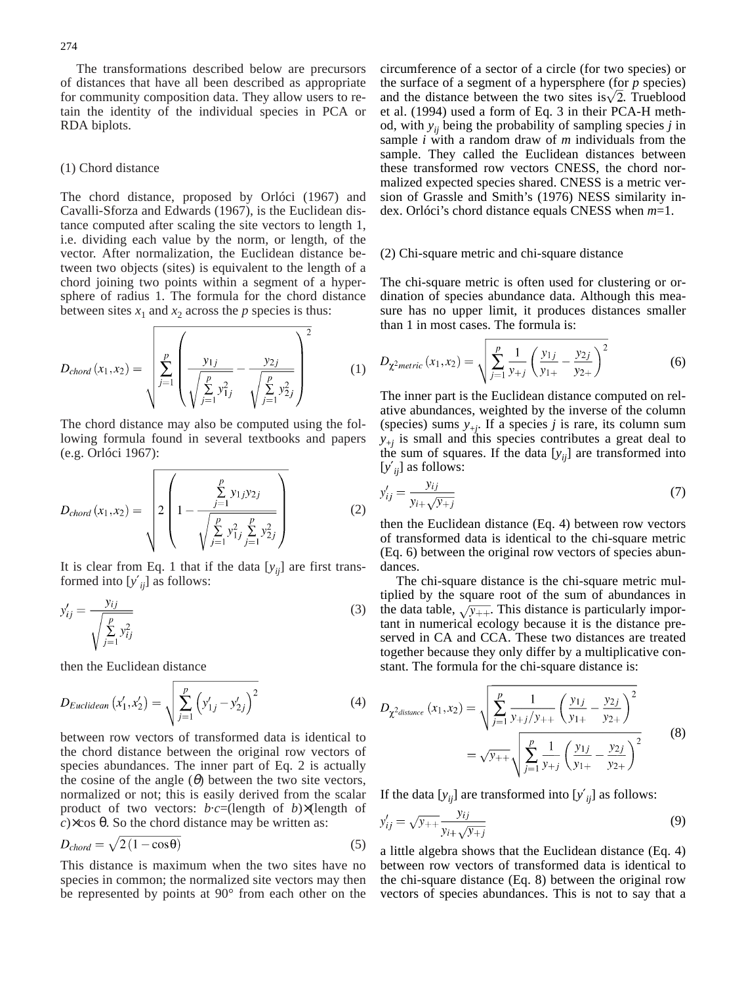The transformations described below are precursors of distances that have all been described as appropriate for community composition data. They allow users to retain the identity of the individual species in PCA or RDA biplots.

#### (1) Chord distance

The chord distance, proposed by Orlóci (1967) and Cavalli-Sforza and Edwards (1967), is the Euclidean distance computed after scaling the site vectors to length 1, i.e. dividing each value by the norm, or length, of the vector. After normalization, the Euclidean distance between two objects (sites) is equivalent to the length of a chord joining two points within a segment of a hypersphere of radius 1. The formula for the chord distance between sites  $x_1$  and  $x_2$  across the *p* species is thus:

$$
D_{chord}(x_1, x_2) = \sqrt{\sum_{j=1}^{p} \left( \frac{y_{1j}}{\sqrt{\sum_{j=1}^{p} y_{1j}^2}} - \frac{y_{2j}}{\sqrt{\sum_{j=1}^{p} y_{2j}^2}} \right)^2}
$$
(1)

The chord distance may also be computed using the following formula found in several textbooks and papers (e.g. Orlóci 1967):

$$
D_{chord}(x_1, x_2) = \sqrt{2\left(1 - \frac{\sum_{j=1}^{p} y_{1j} y_{2j}}{\sqrt{\sum_{j=1}^{p} y_{1j}^2 \sum_{j=1}^{p} y_{2j}^2}}\right)}
$$
(2)

It is clear from Eq. 1 that if the data [*yij*] are first transformed into  $[y'_{ij}]$  as follows:

$$
y'_{ij} = \frac{y_{ij}}{\sqrt{\sum_{j=1}^{p} y_{ij}^{2}}}
$$
 (3)

then the Euclidean distance

$$
D_{Euclidean}(x'_1, x'_2) = \sqrt{\sum_{j=1}^{p} (y'_{1j} - y'_{2j})^2}
$$
 (4)

between row vectors of transformed data is identical to the chord distance between the original row vectors of species abundances. The inner part of Eq. 2 is actually the cosine of the angle  $(\theta)$  between the two site vectors, normalized or not; this is easily derived from the scalar product of two vectors: *b*·*c*=(length of *b*)×(length of  $c$ )×cos  $\theta$ . So the chord distance may be written as:

$$
D_{chord} = \sqrt{2(1 - \cos\theta)}\tag{5}
$$

This distance is maximum when the two sites have no species in common; the normalized site vectors may then be represented by points at 90° from each other on the circumference of a sector of a circle (for two species) or the surface of a segment of a hypersphere (for *p* species) and the distance between the two sites is  $\sqrt{2}$ . Trueblood et al. (1994) used a form of Eq. 3 in their PCA-H method, with *yij* being the probability of sampling species *j* in sample *i* with a random draw of *m* individuals from the sample. They called the Euclidean distances between these transformed row vectors CNESS, the chord normalized expected species shared. CNESS is a metric version of Grassle and Smith's (1976) NESS similarity index. Orlóci's chord distance equals CNESS when *m*=1.

## (2) Chi-square metric and chi-square distance

The chi-square metric is often used for clustering or ordination of species abundance data. Although this measure has no upper limit, it produces distances smaller than 1 in most cases. The formula is:

$$
D_{\chi^2 metric}(x_1, x_2) = \sqrt{\sum_{j=1}^p \frac{1}{y_{+j}} \left(\frac{y_{1j}}{y_{1+}} - \frac{y_{2j}}{y_{2+}}\right)^2}
$$
(6)

The inner part is the Euclidean distance computed on relative abundances, weighted by the inverse of the column (species) sums  $y_{+j}$ . If a species *j* is rare, its column sum  $y_{+i}$  is small and this species contributes a great deal to the sum of squares. If the data  $[y_{ij}]$  are transformed into [*y*′*ij*] as follows:

$$
y'_{ij} = \frac{y_{ij}}{y_{i+\sqrt{y+j}}}
$$
\n<sup>(7)</sup>

then the Euclidean distance (Eq. 4) between row vectors of transformed data is identical to the chi-square metric (Eq. 6) between the original row vectors of species abundances.

The chi-square distance is the chi-square metric multiplied by the square root of the sum of abundances in the data table,  $\sqrt{y_{++}}$ . This distance is particularly important in numerical ecology because it is the distance preserved in CA and CCA. These two distances are treated together because they only differ by a multiplicative constant. The formula for the chi-square distance is:

$$
D_{\chi^2distance}(x_1, x_2) = \sqrt{\sum_{j=1}^p \frac{1}{y_{+j}/y_{++}} \left(\frac{y_{1j}}{y_{1+}} - \frac{y_{2j}}{y_{2+}}\right)^2}
$$
  
=  $\sqrt{y_{++}} \sqrt{\sum_{j=1}^p \frac{1}{y_{+j}} \left(\frac{y_{1j}}{y_{1+}} - \frac{y_{2j}}{y_{2+}}\right)^2}$  (8)

If the data  $[y_{ii}]$  are transformed into  $[y'_{ii}]$  as follows:

$$
y'_{ij} = \sqrt{y_{++}} \frac{y_{ij}}{y_{i+\sqrt{y_{+}j}}}
$$
\n(9)

a little algebra shows that the Euclidean distance (Eq. 4) between row vectors of transformed data is identical to the chi-square distance (Eq. 8) between the original row vectors of species abundances. This is not to say that a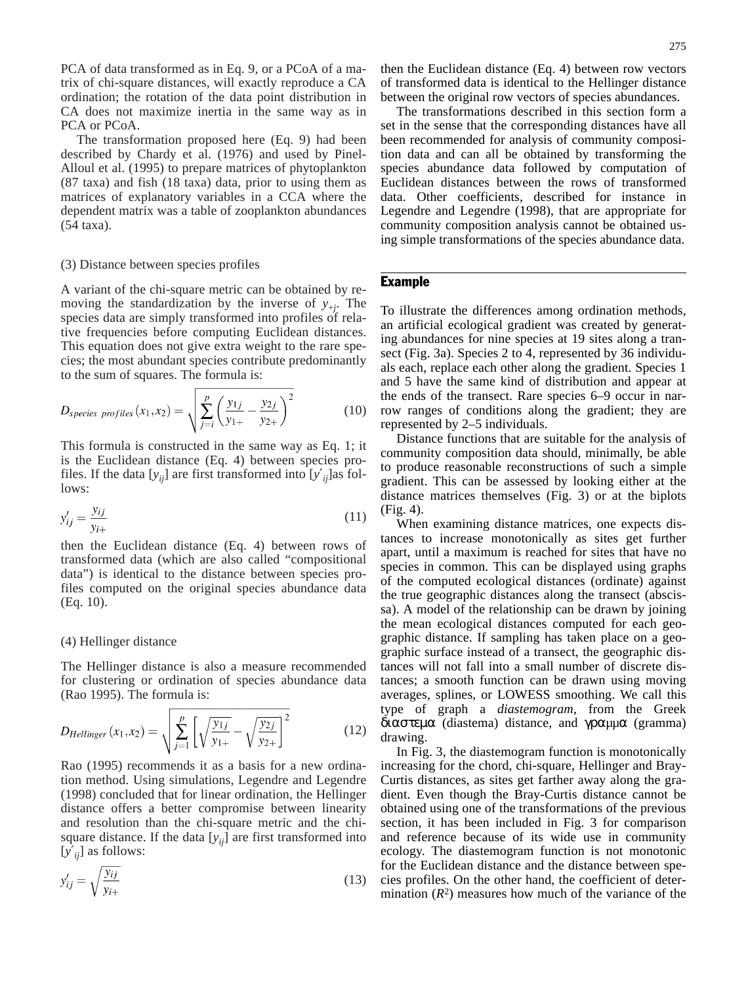PCA of data transformed as in Eq. 9, or a PCoA of a matrix of chi-square distances, will exactly reproduce a CA ordination; the rotation of the data point distribution in CA does not maximize inertia in the same way as in PCA or PCoA.

The transformation proposed here (Eq. 9) had been described by Chardy et al. (1976) and used by Pinel-Alloul et al. (1995) to prepare matrices of phytoplankton (87 taxa) and fish (18 taxa) data, prior to using them as matrices of explanatory variables in a CCA where the dependent matrix was a table of zooplankton abundances (54 taxa).

#### (3) Distance between species profiles

A variant of the chi-square metric can be obtained by removing the standardization by the inverse of  $y_{+j}$ . The species data are simply transformed into profiles of relative frequencies before computing Euclidean distances. This equation does not give extra weight to the rare species; the most abundant species contribute predominantly to the sum of squares. The formula is:

$$
D_{species\ profiles}(x_1, x_2) = \sqrt{\sum_{j=i}^{p} \left(\frac{y_{1j}}{y_{1+}} - \frac{y_{2j}}{y_{2+}}\right)^2}
$$
(10)

This formula is constructed in the same way as Eq. 1; it is the Euclidean distance (Eq. 4) between species profiles. If the data  $[y_{ii}]$  are first transformed into  $[y'_{ii}]$ as follows:

$$
y'_{ij} = \frac{y_{ij}}{y_{i+}}\tag{11}
$$

then the Euclidean distance (Eq. 4) between rows of transformed data (which are also called "compositional data") is identical to the distance between species profiles computed on the original species abundance data (Eq. 10).

#### (4) Hellinger distance

The Hellinger distance is also a measure recommended for clustering or ordination of species abundance data (Rao 1995). The formula is:

$$
D_{Hellinger}(x_1, x_2) = \sqrt{\sum_{j=1}^{p} \left[ \sqrt{\frac{y_{1j}}{y_{1+}}} - \sqrt{\frac{y_{2j}}{y_{2+}}} \right]^2}
$$
(12)

Rao (1995) recommends it as a basis for a new ordination method. Using simulations, Legendre and Legendre (1998) concluded that for linear ordination, the Hellinger distance offers a better compromise between linearity and resolution than the chi-square metric and the chisquare distance. If the data  $[y_{ii}]$  are first transformed into [*y*′*ij*] as follows:

$$
y'_{ij} = \sqrt{\frac{y_{ij}}{y_{i+}}} \tag{13}
$$

then the Euclidean distance (Eq. 4) between row vectors of transformed data is identical to the Hellinger distance between the original row vectors of species abundances.

The transformations described in this section form a set in the sense that the corresponding distances have all been recommended for analysis of community composition data and can all be obtained by transforming the species abundance data followed by computation of Euclidean distances between the rows of transformed data. Other coefficients, described for instance in Legendre and Legendre (1998), that are appropriate for community composition analysis cannot be obtained using simple transformations of the species abundance data.

#### Example

To illustrate the differences among ordination methods, an artificial ecological gradient was created by generating abundances for nine species at 19 sites along a transect (Fig. 3a). Species 2 to 4, represented by 36 individuals each, replace each other along the gradient. Species 1 and 5 have the same kind of distribution and appear at the ends of the transect. Rare species 6–9 occur in narrow ranges of conditions along the gradient; they are represented by 2–5 individuals.

Distance functions that are suitable for the analysis of community composition data should, minimally, be able to produce reasonable reconstructions of such a simple gradient. This can be assessed by looking either at the distance matrices themselves (Fig. 3) or at the biplots (Fig. 4).

When examining distance matrices, one expects distances to increase monotonically as sites get further apart, until a maximum is reached for sites that have no species in common. This can be displayed using graphs of the computed ecological distances (ordinate) against the true geographic distances along the transect (abscissa). A model of the relationship can be drawn by joining the mean ecological distances computed for each geographic distance. If sampling has taken place on a geographic surface instead of a transect, the geographic distances will not fall into a small number of discrete distances; a smooth function can be drawn using moving averages, splines, or LOWESS smoothing. We call this type of graph a *diastemogram*, from the Greek διαστεµα (diastema) distance, and γραµµα (gramma) drawing.

In Fig. 3, the diastemogram function is monotonically increasing for the chord, chi-square, Hellinger and Bray-Curtis distances, as sites get farther away along the gradient. Even though the Bray-Curtis distance cannot be obtained using one of the transformations of the previous section, it has been included in Fig. 3 for comparison and reference because of its wide use in community ecology. The diastemogram function is not monotonic for the Euclidean distance and the distance between species profiles. On the other hand, the coefficient of determination  $(R^2)$  measures how much of the variance of the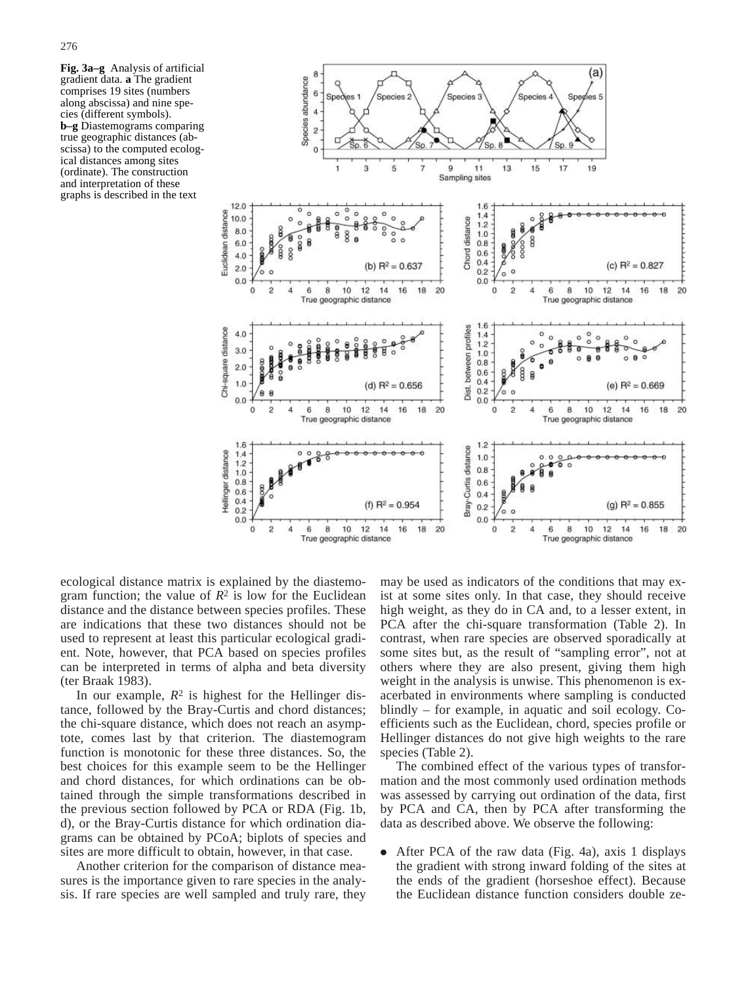**Fig. 3a–g** Analysis of artificial gradient data. **a** The gradient comprises 19 sites (numbers along abscissa) and nine species (different symbols). **b–g** Diastemograms comparing true geographic distances (abscissa) to the computed ecological distances among sites (ordinate). The construction and interpretation of these graphs is described in the text



ecological distance matrix is explained by the diastemogram function; the value of  $R^2$  is low for the Euclidean distance and the distance between species profiles. These are indications that these two distances should not be used to represent at least this particular ecological gradient. Note, however, that PCA based on species profiles can be interpreted in terms of alpha and beta diversity (ter Braak 1983).

In our example,  $R^2$  is highest for the Hellinger distance, followed by the Bray-Curtis and chord distances; the chi-square distance, which does not reach an asymptote, comes last by that criterion. The diastemogram function is monotonic for these three distances. So, the best choices for this example seem to be the Hellinger and chord distances, for which ordinations can be obtained through the simple transformations described in the previous section followed by PCA or RDA (Fig. 1b, d), or the Bray-Curtis distance for which ordination diagrams can be obtained by PCoA; biplots of species and sites are more difficult to obtain, however, in that case.

Another criterion for the comparison of distance measures is the importance given to rare species in the analysis. If rare species are well sampled and truly rare, they may be used as indicators of the conditions that may exist at some sites only. In that case, they should receive high weight, as they do in CA and, to a lesser extent, in PCA after the chi-square transformation (Table 2). In contrast, when rare species are observed sporadically at some sites but, as the result of "sampling error", not at others where they are also present, giving them high weight in the analysis is unwise. This phenomenon is exacerbated in environments where sampling is conducted blindly – for example, in aquatic and soil ecology. Coefficients such as the Euclidean, chord, species profile or Hellinger distances do not give high weights to the rare species (Table 2).

The combined effect of the various types of transformation and the most commonly used ordination methods was assessed by carrying out ordination of the data, first by PCA and CA, then by PCA after transforming the data as described above. We observe the following:

• After PCA of the raw data (Fig. 4a), axis 1 displays the gradient with strong inward folding of the sites at the ends of the gradient (horseshoe effect). Because the Euclidean distance function considers double ze-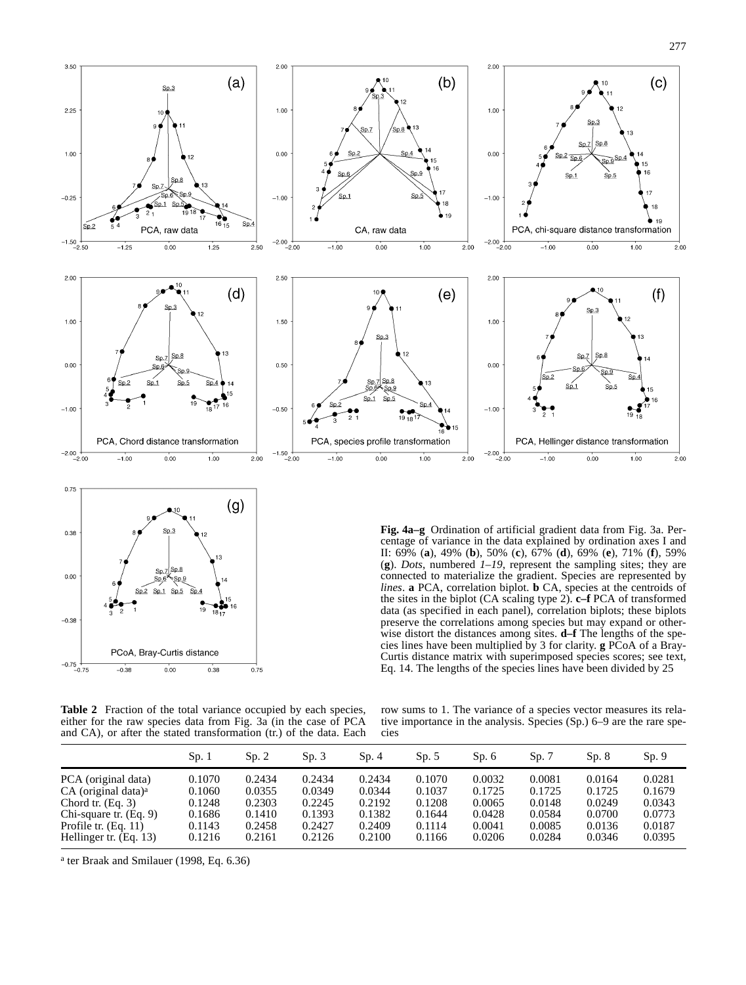



**Fig. 4a–g** Ordination of artificial gradient data from Fig. 3a. Percentage of variance in the data explained by ordination axes I and II: 69% (**a**), 49% (**b**), 50% (**c**), 67% (**d**), 69% (**e**), 71% (**f**), 59% (**g**). *Dots*, numbered *1–19*, represent the sampling sites; they are connected to materialize the gradient. Species are represented by *lines*. **a** PCA, correlation biplot. **b** CA, species at the centroids of the sites in the biplot (CA scaling type 2). **c–f** PCA of transformed data (as specified in each panel), correlation biplots; these biplots preserve the correlations among species but may expand or otherwise distort the distances among sites. **d–f** The lengths of the species lines have been multiplied by 3 for clarity. **g** PCoA of a Bray-Curtis distance matrix with superimposed species scores; see text, Eq. 14. The lengths of the species lines have been divided by 25

**Table 2** Fraction of the total variance occupied by each species, either for the raw species data from Fig. 3a (in the case of PCA and CA), or after the stated transformation (tr.) of the data. Each

row sums to 1. The variance of a species vector measures its relative importance in the analysis. Species (Sp.) 6–9 are the rare species

|                                   | Sp. 1  | Sp. 2  | Sp.3   | Sp.4   | Sp.5   | Sp.6   | Sp. 7  | Sp.8   | Sp.9   |
|-----------------------------------|--------|--------|--------|--------|--------|--------|--------|--------|--------|
| PCA (original data)               | 0.1070 | 0.2434 | 0.2434 | 0.2434 | 0.1070 | 0.0032 | 0.0081 | 0.0164 | 0.0281 |
| $CA$ (original data) <sup>a</sup> | 0.1060 | 0.0355 | 0.0349 | 0.0344 | 0.1037 | 0.1725 | 0.1725 | 0.1725 | 0.1679 |
| Chord tr. $(Eq. 3)$               | 0.1248 | 0.2303 | 0.2245 | 0.2192 | 0.1208 | 0.0065 | 0.0148 | 0.0249 | 0.0343 |
| Chi-square tr. (Eq. 9)            | 0.1686 | 0.1410 | 0.1393 | 0.1382 | 0.1644 | 0.0428 | 0.0584 | 0.0700 | 0.0773 |
| Profile tr. (Eq. 11)              | 0.1143 | 0.2458 | 0.2427 | 0.2409 | 0.1114 | 0.0041 | 0.0085 | 0.0136 | 0.0187 |
| Hellinger tr. (Eq. 13)            | 0.1216 | 0.2161 | 0.2126 | 0.2100 | 0.1166 | 0.0206 | 0.0284 | 0.0346 | 0.0395 |

<sup>a</sup> ter Braak and Smilauer (1998, Eq. 6.36)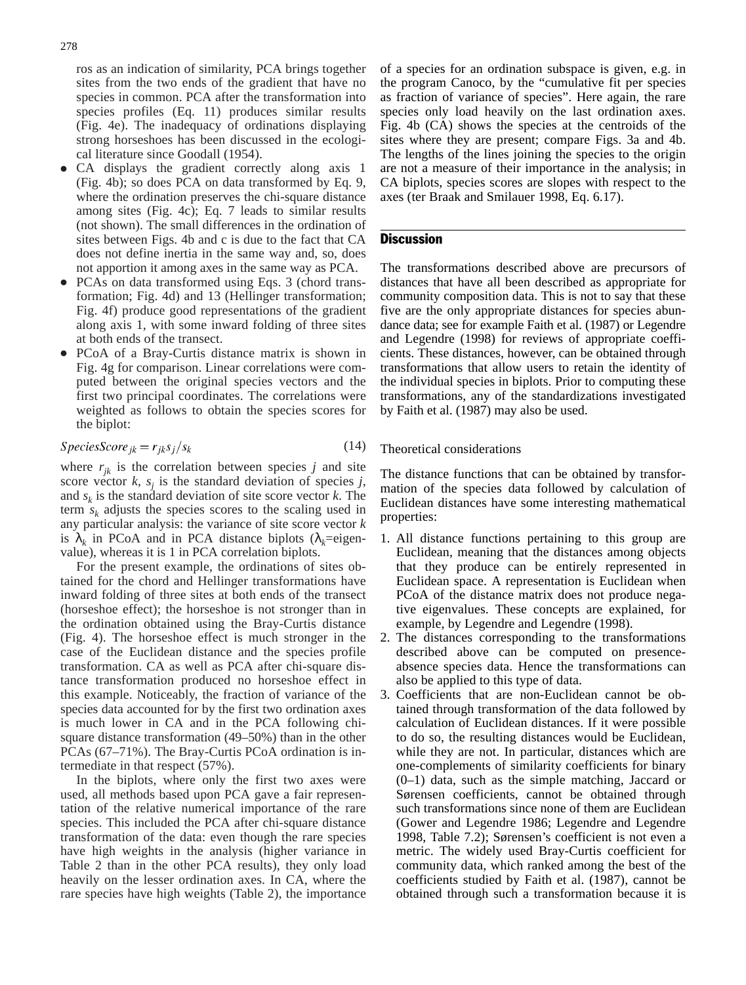ros as an indication of similarity, PCA brings together sites from the two ends of the gradient that have no species in common. PCA after the transformation into species profiles (Eq. 11) produces similar results (Fig. 4e). The inadequacy of ordinations displaying strong horseshoes has been discussed in the ecological literature since Goodall (1954).

- CA displays the gradient correctly along axis 1 (Fig. 4b); so does PCA on data transformed by Eq. 9, where the ordination preserves the chi-square distance among sites (Fig. 4c); Eq. 7 leads to similar results (not shown). The small differences in the ordination of sites between Figs. 4b and c is due to the fact that CA does not define inertia in the same way and, so, does not apportion it among axes in the same way as PCA.
- PCAs on data transformed using Eqs. 3 (chord transformation; Fig. 4d) and 13 (Hellinger transformation; Fig. 4f) produce good representations of the gradient along axis 1, with some inward folding of three sites at both ends of the transect.
- PCoA of a Bray-Curtis distance matrix is shown in Fig. 4g for comparison. Linear correlations were computed between the original species vectors and the first two principal coordinates. The correlations were weighted as follows to obtain the species scores for the biplot:

$$
speciesScore_{jk} = r_{jk}s_j/s_k
$$
\n(14)

where  $r_{jk}$  is the correlation between species *j* and site score vector  $k$ ,  $s<sub>i</sub>$  is the standard deviation of species *j*, and  $s_k$  is the standard deviation of site score vector  $k$ . The term  $s_k$  adjusts the species scores to the scaling used in any particular analysis: the variance of site score vector *k* is  $\lambda_k$  in PCoA and in PCA distance biplots ( $\lambda_k$ =eigenvalue), whereas it is 1 in PCA correlation biplots.

For the present example, the ordinations of sites obtained for the chord and Hellinger transformations have inward folding of three sites at both ends of the transect (horseshoe effect); the horseshoe is not stronger than in the ordination obtained using the Bray-Curtis distance (Fig. 4). The horseshoe effect is much stronger in the case of the Euclidean distance and the species profile transformation. CA as well as PCA after chi-square distance transformation produced no horseshoe effect in this example. Noticeably, the fraction of variance of the species data accounted for by the first two ordination axes is much lower in CA and in the PCA following chisquare distance transformation (49–50%) than in the other PCAs (67–71%). The Bray-Curtis PCoA ordination is intermediate in that respect (57%).

In the biplots, where only the first two axes were used, all methods based upon PCA gave a fair representation of the relative numerical importance of the rare species. This included the PCA after chi-square distance transformation of the data: even though the rare species have high weights in the analysis (higher variance in Table 2 than in the other PCA results), they only load heavily on the lesser ordination axes. In CA, where the rare species have high weights (Table 2), the importance of a species for an ordination subspace is given, e.g. in the program Canoco, by the "cumulative fit per species as fraction of variance of species". Here again, the rare species only load heavily on the last ordination axes. Fig. 4b (CA) shows the species at the centroids of the sites where they are present; compare Figs. 3a and 4b. The lengths of the lines joining the species to the origin are not a measure of their importance in the analysis; in CA biplots, species scores are slopes with respect to the axes (ter Braak and Smilauer 1998, Eq. 6.17).

## **Discussion**

The transformations described above are precursors of distances that have all been described as appropriate for community composition data. This is not to say that these five are the only appropriate distances for species abundance data; see for example Faith et al. (1987) or Legendre and Legendre (1998) for reviews of appropriate coefficients. These distances, however, can be obtained through transformations that allow users to retain the identity of the individual species in biplots. Prior to computing these transformations, any of the standardizations investigated by Faith et al. (1987) may also be used.

## Theoretical considerations

The distance functions that can be obtained by transformation of the species data followed by calculation of Euclidean distances have some interesting mathematical properties:

- 1. All distance functions pertaining to this group are Euclidean, meaning that the distances among objects that they produce can be entirely represented in Euclidean space. A representation is Euclidean when PCoA of the distance matrix does not produce negative eigenvalues. These concepts are explained, for example, by Legendre and Legendre (1998).
- 2. The distances corresponding to the transformations described above can be computed on presenceabsence species data. Hence the transformations can also be applied to this type of data.
- 3. Coefficients that are non-Euclidean cannot be obtained through transformation of the data followed by calculation of Euclidean distances. If it were possible to do so, the resulting distances would be Euclidean, while they are not. In particular, distances which are one-complements of similarity coefficients for binary (0–1) data, such as the simple matching, Jaccard or Sørensen coefficients, cannot be obtained through such transformations since none of them are Euclidean (Gower and Legendre 1986; Legendre and Legendre 1998, Table 7.2); Sørensen's coefficient is not even a metric. The widely used Bray-Curtis coefficient for community data, which ranked among the best of the coefficients studied by Faith et al. (1987), cannot be obtained through such a transformation because it is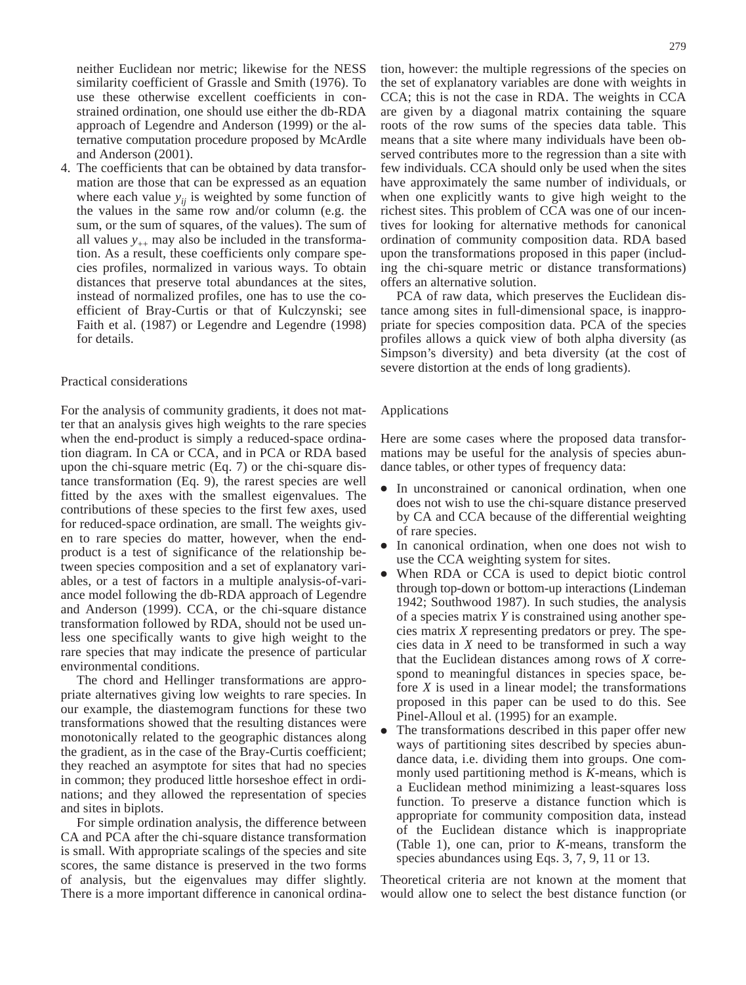neither Euclidean nor metric; likewise for the NESS similarity coefficient of Grassle and Smith (1976). To use these otherwise excellent coefficients in constrained ordination, one should use either the db-RDA approach of Legendre and Anderson (1999) or the alternative computation procedure proposed by McArdle and Anderson (2001).

4. The coefficients that can be obtained by data transformation are those that can be expressed as an equation where each value  $y_{ij}$  is weighted by some function of the values in the same row and/or column (e.g. the sum, or the sum of squares, of the values). The sum of all values  $y_{++}$  may also be included in the transformation. As a result, these coefficients only compare species profiles, normalized in various ways. To obtain distances that preserve total abundances at the sites, instead of normalized profiles, one has to use the coefficient of Bray-Curtis or that of Kulczynski; see Faith et al. (1987) or Legendre and Legendre (1998) for details.

## Practical considerations

For the analysis of community gradients, it does not matter that an analysis gives high weights to the rare species when the end-product is simply a reduced-space ordination diagram. In CA or CCA, and in PCA or RDA based upon the chi-square metric (Eq. 7) or the chi-square distance transformation (Eq. 9), the rarest species are well fitted by the axes with the smallest eigenvalues. The contributions of these species to the first few axes, used for reduced-space ordination, are small. The weights given to rare species do matter, however, when the endproduct is a test of significance of the relationship between species composition and a set of explanatory variables, or a test of factors in a multiple analysis-of-variance model following the db-RDA approach of Legendre and Anderson (1999). CCA, or the chi-square distance transformation followed by RDA, should not be used unless one specifically wants to give high weight to the rare species that may indicate the presence of particular environmental conditions.

The chord and Hellinger transformations are appropriate alternatives giving low weights to rare species. In our example, the diastemogram functions for these two transformations showed that the resulting distances were monotonically related to the geographic distances along the gradient, as in the case of the Bray-Curtis coefficient; they reached an asymptote for sites that had no species in common; they produced little horseshoe effect in ordinations; and they allowed the representation of species and sites in biplots.

For simple ordination analysis, the difference between CA and PCA after the chi-square distance transformation is small. With appropriate scalings of the species and site scores, the same distance is preserved in the two forms of analysis, but the eigenvalues may differ slightly. There is a more important difference in canonical ordina-

tion, however: the multiple regressions of the species on the set of explanatory variables are done with weights in CCA; this is not the case in RDA. The weights in CCA are given by a diagonal matrix containing the square roots of the row sums of the species data table. This means that a site where many individuals have been observed contributes more to the regression than a site with few individuals. CCA should only be used when the sites have approximately the same number of individuals, or when one explicitly wants to give high weight to the richest sites. This problem of CCA was one of our incentives for looking for alternative methods for canonical ordination of community composition data. RDA based upon the transformations proposed in this paper (including the chi-square metric or distance transformations) offers an alternative solution.

PCA of raw data, which preserves the Euclidean distance among sites in full-dimensional space, is inappropriate for species composition data. PCA of the species profiles allows a quick view of both alpha diversity (as Simpson's diversity) and beta diversity (at the cost of severe distortion at the ends of long gradients).

## Applications

Here are some cases where the proposed data transformations may be useful for the analysis of species abundance tables, or other types of frequency data:

- In unconstrained or canonical ordination, when one does not wish to use the chi-square distance preserved by CA and CCA because of the differential weighting of rare species.
- In canonical ordination, when one does not wish to use the CCA weighting system for sites.
- When RDA or CCA is used to depict biotic control through top-down or bottom-up interactions (Lindeman 1942; Southwood 1987). In such studies, the analysis of a species matrix *Y* is constrained using another species matrix *X* representing predators or prey. The species data in *X* need to be transformed in such a way that the Euclidean distances among rows of *X* correspond to meaningful distances in species space, before *X* is used in a linear model; the transformations proposed in this paper can be used to do this. See Pinel-Alloul et al. (1995) for an example.
- The transformations described in this paper offer new ways of partitioning sites described by species abundance data, i.e. dividing them into groups. One commonly used partitioning method is *K*-means, which is a Euclidean method minimizing a least-squares loss function. To preserve a distance function which is appropriate for community composition data, instead of the Euclidean distance which is inappropriate (Table 1), one can, prior to *K*-means, transform the species abundances using Eqs. 3, 7, 9, 11 or 13.

Theoretical criteria are not known at the moment that would allow one to select the best distance function (or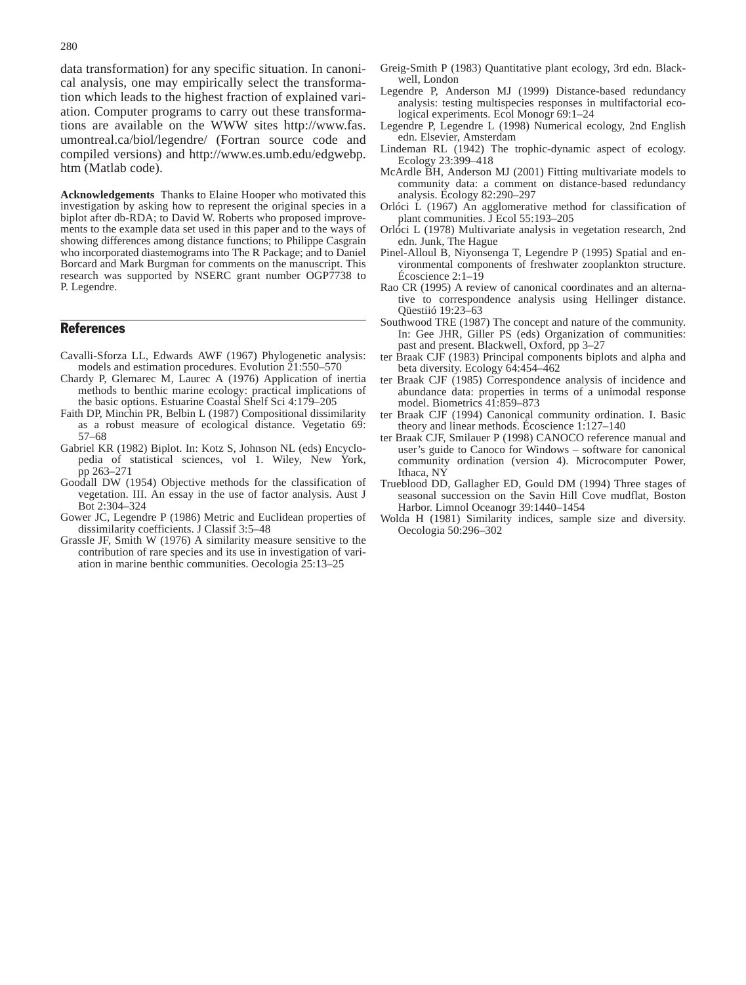data transformation) for any specific situation. In canonical analysis, one may empirically select the transformation which leads to the highest fraction of explained variation. Computer programs to carry out these transformations are available on the WWW sites http://www.fas. umontreal.ca/biol/legendre/ (Fortran source code and compiled versions) and http://www.es.umb.edu/edgwebp. htm (Matlab code).

**Acknowledgements** Thanks to Elaine Hooper who motivated this investigation by asking how to represent the original species in a biplot after db-RDA; to David W. Roberts who proposed improvements to the example data set used in this paper and to the ways of showing differences among distance functions; to Philippe Casgrain who incorporated diastemograms into The R Package; and to Daniel Borcard and Mark Burgman for comments on the manuscript. This research was supported by NSERC grant number OGP7738 to P. Legendre.

# References

- Cavalli-Sforza LL, Edwards AWF (1967) Phylogenetic analysis: models and estimation procedures. Evolution 21:550–570
- Chardy P, Glemarec M, Laurec A (1976) Application of inertia methods to benthic marine ecology: practical implications of the basic options. Estuarine Coastal Shelf Sci 4:179–205
- Faith DP, Minchin PR, Belbin L (1987) Compositional dissimilarity as a robust measure of ecological distance. Vegetatio 69: 57–68
- Gabriel KR (1982) Biplot. In: Kotz S, Johnson NL (eds) Encyclopedia of statistical sciences, vol 1. Wiley, New York, pp 263–271
- Goodall DW (1954) Objective methods for the classification of vegetation. III. An essay in the use of factor analysis. Aust J Bot 2:304–324
- Gower JC, Legendre P (1986) Metric and Euclidean properties of dissimilarity coefficients. J Classif 3:5–48
- Grassle JF, Smith W (1976) A similarity measure sensitive to the contribution of rare species and its use in investigation of variation in marine benthic communities. Oecologia 25:13–25
- Greig-Smith P (1983) Quantitative plant ecology, 3rd edn. Blackwell, London
- Legendre P, Anderson MJ (1999) Distance-based redundancy analysis: testing multispecies responses in multifactorial ecological experiments. Ecol Monogr 69:1–24
- Legendre P, Legendre L (1998) Numerical ecology, 2nd English edn. Elsevier, Amsterdam
- Lindeman RL (1942) The trophic-dynamic aspect of ecology. Ecology 23:399–418
- McArdle BH, Anderson MJ (2001) Fitting multivariate models to community data: a comment on distance-based redundancy analysis. Ecology 82:290–297
- Orlóci L (1967) An agglomerative method for classification of plant communities. J Ecol 55:193–205
- Orlóci L (1978) Multivariate analysis in vegetation research, 2nd edn. Junk, The Hague
- Pinel-Alloul B, Niyonsenga T, Legendre P (1995) Spatial and environmental components of freshwater zooplankton structure. Écoscience 2:1–19
- Rao CR (1995) A review of canonical coordinates and an alternative to correspondence analysis using Hellinger distance. Qüestiió 19:23–63
- Southwood TRE (1987) The concept and nature of the community. In: Gee JHR, Giller PS (eds) Organization of communities: past and present. Blackwell, Oxford, pp 3–27
- ter Braak CJF (1983) Principal components biplots and alpha and beta diversity. Ecology 64:454–462
- ter Braak CJF (1985) Correspondence analysis of incidence and abundance data: properties in terms of a unimodal response model. Biometrics 41:859–873
- ter Braak CJF (1994) Canonical community ordination. I. Basic theory and linear methods. Écoscience 1:127–140
- ter Braak CJF, Smilauer P (1998) CANOCO reference manual and user's guide to Canoco for Windows – software for canonical community ordination (version 4). Microcomputer Power, Ithaca, NY
- Trueblood DD, Gallagher ED, Gould DM (1994) Three stages of seasonal succession on the Savin Hill Cove mudflat, Boston Harbor. Limnol Oceanogr 39:1440–1454
- Wolda H (1981) Similarity indices, sample size and diversity. Oecologia 50:296–302